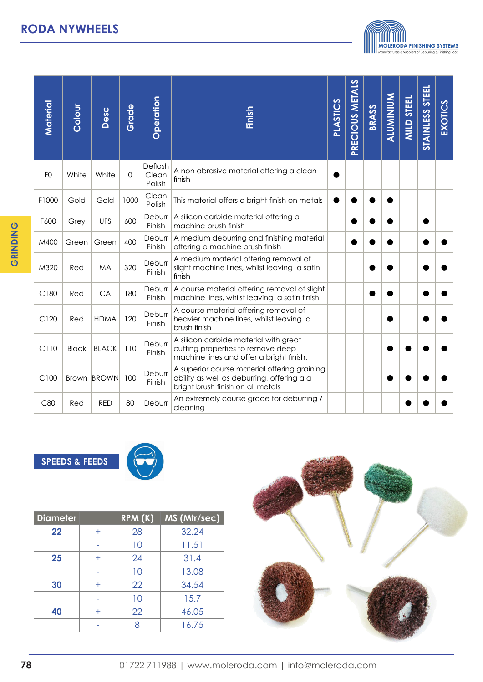

| Material       | Colour       | Desc         | Grade | <b>Operation</b>           | Finish                                                                                                                          |  | PRECIOUS METALS | BRASS | <b>ALUMINIUM</b> | <b>MILD STEEL</b> | <b>STAINLESS STEEL</b> | EXOTICS |
|----------------|--------------|--------------|-------|----------------------------|---------------------------------------------------------------------------------------------------------------------------------|--|-----------------|-------|------------------|-------------------|------------------------|---------|
| F <sub>O</sub> | White        | White        | 0     | Deflash<br>Clean<br>Polish | A non abrasive material offering a clean<br>finish                                                                              |  |                 |       |                  |                   |                        |         |
| F1000          | Gold         | Gold         | 1000  | Clean<br>Polish            | This material offers a bright finish on metals                                                                                  |  |                 |       |                  |                   |                        |         |
| F600           | Grey         | <b>UFS</b>   | 600   | Deburr<br>Finish           | A silicon carbide material offering a<br>machine brush finish                                                                   |  |                 |       |                  |                   |                        |         |
| M400           | Green        | Green        | 400   | Deburr<br>Finish           | A medium deburring and finishing material<br>offering a machine brush finish                                                    |  |                 |       |                  |                   |                        |         |
| M320           | Red          | <b>MA</b>    | 320   | Deburr<br>Finish           | A medium material offering removal of<br>slight machine lines, whilst leaving a satin<br>finish                                 |  |                 |       |                  |                   |                        |         |
| C180           | Red          | CA           | 180   | Deburr<br>Finish           | A course material offering removal of slight<br>machine lines, whilst leaving a satin finish                                    |  |                 |       |                  |                   |                        |         |
| C120           | Red          | <b>HDMA</b>  | 120   | Deburr<br>Finish           | A course material offering removal of<br>heavier machine lines, whilst leaving a<br>brush finish                                |  |                 |       |                  |                   |                        |         |
| C110           | <b>Black</b> | <b>BLACK</b> | 110   | Deburr<br>Finish           | A silicon carbide material with great<br>cutting properties to remove deep<br>machine lines and offer a bright finish.          |  |                 |       |                  |                   |                        |         |
| C100           |              | Brown BROWN  | 100   | Deburr<br>Finish           | A superior course material offering graining<br>ability as well as deburring, offering a a<br>bright brush finish on all metals |  |                 |       |                  |                   |                        |         |
| C80            | Red          | <b>RED</b>   | 80    | Deburr                     | An extremely course grade for deburring /<br>cleaning                                                                           |  |                 |       |                  |                   |                        |         |

**SPEEDS & FEEDS**



| <b>Diameter</b> |       | RPM(K) | MS (Mtr/sec) |
|-----------------|-------|--------|--------------|
| 22              | $\pm$ | 28     | 32.24        |
|                 |       | 10     | 11.51        |
| 25              | $\pm$ | 24     | 31.4         |
|                 |       | 10     | 13.08        |
| 30              | $\pm$ | 22     | 34.54        |
|                 |       | 10     | 15.7         |
| 40              | $\pm$ | 22     | 46.05        |
|                 |       |        | 16.75        |